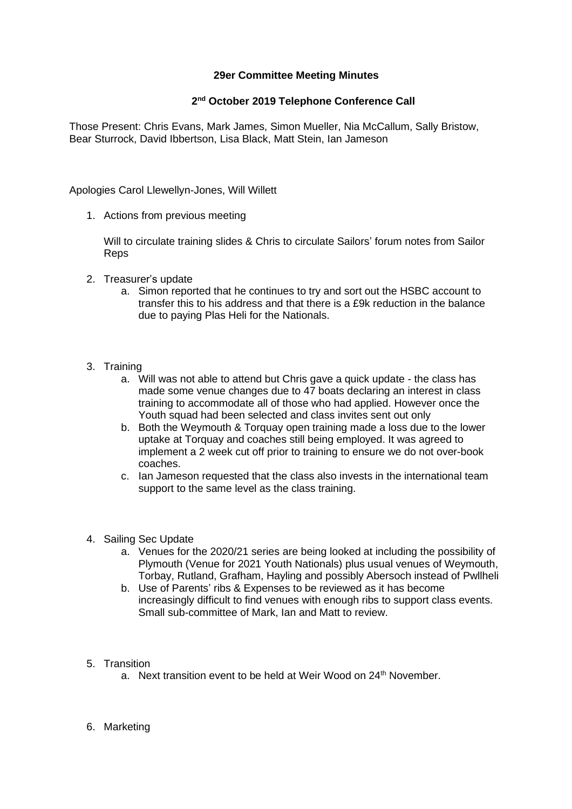## **29er Committee Meeting Minutes**

## **2 nd October 2019 Telephone Conference Call**

Those Present: Chris Evans, Mark James, Simon Mueller, Nia McCallum, Sally Bristow, Bear Sturrock, David Ibbertson, Lisa Black, Matt Stein, Ian Jameson

Apologies Carol Llewellyn-Jones, Will Willett

1. Actions from previous meeting

Will to circulate training slides & Chris to circulate Sailors' forum notes from Sailor Reps

- 2. Treasurer's update
	- a. Simon reported that he continues to try and sort out the HSBC account to transfer this to his address and that there is a £9k reduction in the balance due to paying Plas Heli for the Nationals.
- 3. Training
	- a. Will was not able to attend but Chris gave a quick update the class has made some venue changes due to 47 boats declaring an interest in class training to accommodate all of those who had applied. However once the Youth squad had been selected and class invites sent out only
	- b. Both the Weymouth & Torquay open training made a loss due to the lower uptake at Torquay and coaches still being employed. It was agreed to implement a 2 week cut off prior to training to ensure we do not over-book coaches.
	- c. Ian Jameson requested that the class also invests in the international team support to the same level as the class training.
- 4. Sailing Sec Update
	- a. Venues for the 2020/21 series are being looked at including the possibility of Plymouth (Venue for 2021 Youth Nationals) plus usual venues of Weymouth, Torbay, Rutland, Grafham, Hayling and possibly Abersoch instead of Pwllheli
	- b. Use of Parents' ribs & Expenses to be reviewed as it has become increasingly difficult to find venues with enough ribs to support class events. Small sub-committee of Mark, Ian and Matt to review.
- 5. Transition
	- a. Next transition event to be held at Weir Wood on 24<sup>th</sup> November.
- 6. Marketing